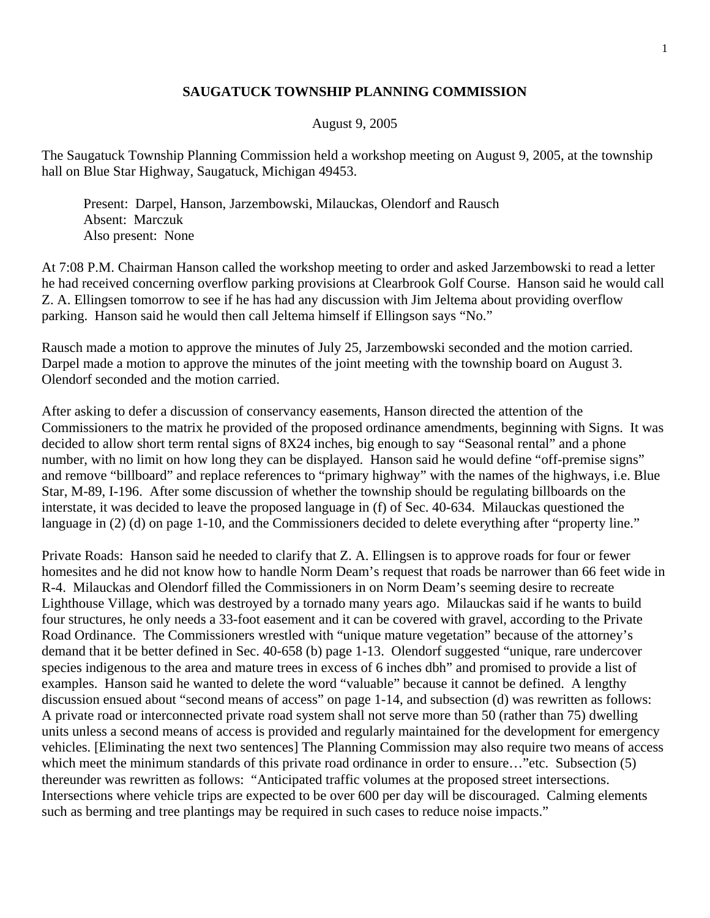## **SAUGATUCK TOWNSHIP PLANNING COMMISSION**

## August 9, 2005

The Saugatuck Township Planning Commission held a workshop meeting on August 9, 2005, at the township hall on Blue Star Highway, Saugatuck, Michigan 49453.

 Present: Darpel, Hanson, Jarzembowski, Milauckas, Olendorf and Rausch Absent: Marczuk Also present: None

At 7:08 P.M. Chairman Hanson called the workshop meeting to order and asked Jarzembowski to read a letter he had received concerning overflow parking provisions at Clearbrook Golf Course. Hanson said he would call Z. A. Ellingsen tomorrow to see if he has had any discussion with Jim Jeltema about providing overflow parking. Hanson said he would then call Jeltema himself if Ellingson says "No."

Rausch made a motion to approve the minutes of July 25, Jarzembowski seconded and the motion carried. Darpel made a motion to approve the minutes of the joint meeting with the township board on August 3. Olendorf seconded and the motion carried.

After asking to defer a discussion of conservancy easements, Hanson directed the attention of the Commissioners to the matrix he provided of the proposed ordinance amendments, beginning with Signs. It was decided to allow short term rental signs of 8X24 inches, big enough to say "Seasonal rental" and a phone number, with no limit on how long they can be displayed. Hanson said he would define "off-premise signs" and remove "billboard" and replace references to "primary highway" with the names of the highways, i.e. Blue Star, M-89, I-196. After some discussion of whether the township should be regulating billboards on the interstate, it was decided to leave the proposed language in (f) of Sec. 40-634. Milauckas questioned the language in (2) (d) on page 1-10, and the Commissioners decided to delete everything after "property line."

Private Roads: Hanson said he needed to clarify that Z. A. Ellingsen is to approve roads for four or fewer homesites and he did not know how to handle Norm Deam's request that roads be narrower than 66 feet wide in R-4. Milauckas and Olendorf filled the Commissioners in on Norm Deam's seeming desire to recreate Lighthouse Village, which was destroyed by a tornado many years ago. Milauckas said if he wants to build four structures, he only needs a 33-foot easement and it can be covered with gravel, according to the Private Road Ordinance. The Commissioners wrestled with "unique mature vegetation" because of the attorney's demand that it be better defined in Sec. 40-658 (b) page 1-13. Olendorf suggested "unique, rare undercover species indigenous to the area and mature trees in excess of 6 inches dbh" and promised to provide a list of examples. Hanson said he wanted to delete the word "valuable" because it cannot be defined. A lengthy discussion ensued about "second means of access" on page 1-14, and subsection (d) was rewritten as follows: A private road or interconnected private road system shall not serve more than 50 (rather than 75) dwelling units unless a second means of access is provided and regularly maintained for the development for emergency vehicles. [Eliminating the next two sentences] The Planning Commission may also require two means of access which meet the minimum standards of this private road ordinance in order to ensure..."etc. Subsection (5) thereunder was rewritten as follows: "Anticipated traffic volumes at the proposed street intersections. Intersections where vehicle trips are expected to be over 600 per day will be discouraged. Calming elements such as berming and tree plantings may be required in such cases to reduce noise impacts."